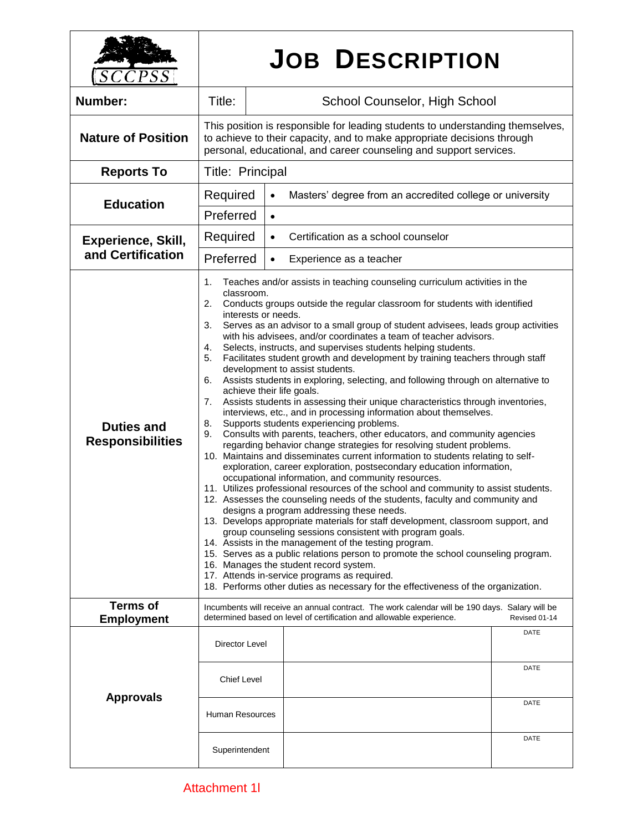| <i>CPSS</i>                                    | <b>JOB DESCRIPTION</b>                                                                                                                                                                                                                                                                                                                                                                                                                                                                                                                                                                                                                                                                                                                                                                                                                                                                                                                                                                                                                                                                                                                                                                                                                                                                                                                                                                                                                                                                                                                                                                                                                                                                                                                                                                                                                                                                                                                                                                           |                                                                                                                                                                        |                              |
|------------------------------------------------|--------------------------------------------------------------------------------------------------------------------------------------------------------------------------------------------------------------------------------------------------------------------------------------------------------------------------------------------------------------------------------------------------------------------------------------------------------------------------------------------------------------------------------------------------------------------------------------------------------------------------------------------------------------------------------------------------------------------------------------------------------------------------------------------------------------------------------------------------------------------------------------------------------------------------------------------------------------------------------------------------------------------------------------------------------------------------------------------------------------------------------------------------------------------------------------------------------------------------------------------------------------------------------------------------------------------------------------------------------------------------------------------------------------------------------------------------------------------------------------------------------------------------------------------------------------------------------------------------------------------------------------------------------------------------------------------------------------------------------------------------------------------------------------------------------------------------------------------------------------------------------------------------------------------------------------------------------------------------------------------------|------------------------------------------------------------------------------------------------------------------------------------------------------------------------|------------------------------|
| <b>Number:</b>                                 | Title:                                                                                                                                                                                                                                                                                                                                                                                                                                                                                                                                                                                                                                                                                                                                                                                                                                                                                                                                                                                                                                                                                                                                                                                                                                                                                                                                                                                                                                                                                                                                                                                                                                                                                                                                                                                                                                                                                                                                                                                           | School Counselor, High School                                                                                                                                          |                              |
| <b>Nature of Position</b>                      | This position is responsible for leading students to understanding themselves,<br>to achieve to their capacity, and to make appropriate decisions through<br>personal, educational, and career counseling and support services.                                                                                                                                                                                                                                                                                                                                                                                                                                                                                                                                                                                                                                                                                                                                                                                                                                                                                                                                                                                                                                                                                                                                                                                                                                                                                                                                                                                                                                                                                                                                                                                                                                                                                                                                                                  |                                                                                                                                                                        |                              |
| <b>Reports To</b>                              | Title: Principal                                                                                                                                                                                                                                                                                                                                                                                                                                                                                                                                                                                                                                                                                                                                                                                                                                                                                                                                                                                                                                                                                                                                                                                                                                                                                                                                                                                                                                                                                                                                                                                                                                                                                                                                                                                                                                                                                                                                                                                 |                                                                                                                                                                        |                              |
| <b>Education</b>                               | Required                                                                                                                                                                                                                                                                                                                                                                                                                                                                                                                                                                                                                                                                                                                                                                                                                                                                                                                                                                                                                                                                                                                                                                                                                                                                                                                                                                                                                                                                                                                                                                                                                                                                                                                                                                                                                                                                                                                                                                                         | Masters' degree from an accredited college or university<br>$\bullet$                                                                                                  |                              |
|                                                | Preferred<br>$\bullet$                                                                                                                                                                                                                                                                                                                                                                                                                                                                                                                                                                                                                                                                                                                                                                                                                                                                                                                                                                                                                                                                                                                                                                                                                                                                                                                                                                                                                                                                                                                                                                                                                                                                                                                                                                                                                                                                                                                                                                           |                                                                                                                                                                        |                              |
| <b>Experience, Skill,</b><br>and Certification | Required                                                                                                                                                                                                                                                                                                                                                                                                                                                                                                                                                                                                                                                                                                                                                                                                                                                                                                                                                                                                                                                                                                                                                                                                                                                                                                                                                                                                                                                                                                                                                                                                                                                                                                                                                                                                                                                                                                                                                                                         | Certification as a school counselor<br>$\bullet$                                                                                                                       |                              |
|                                                | Preferred<br>Experience as a teacher<br>$\bullet$                                                                                                                                                                                                                                                                                                                                                                                                                                                                                                                                                                                                                                                                                                                                                                                                                                                                                                                                                                                                                                                                                                                                                                                                                                                                                                                                                                                                                                                                                                                                                                                                                                                                                                                                                                                                                                                                                                                                                |                                                                                                                                                                        |                              |
| <b>Duties and</b><br><b>Responsibilities</b>   | Teaches and/or assists in teaching counseling curriculum activities in the<br>1.<br>classroom.<br>2.<br>Conducts groups outside the regular classroom for students with identified<br>interests or needs.<br>3.<br>Serves as an advisor to a small group of student advisees, leads group activities<br>with his advisees, and/or coordinates a team of teacher advisors.<br>Selects, instructs, and supervises students helping students.<br>4.<br>5.<br>Facilitates student growth and development by training teachers through staff<br>development to assist students.<br>Assists students in exploring, selecting, and following through on alternative to<br>6.<br>achieve their life goals.<br>Assists students in assessing their unique characteristics through inventories,<br>7.<br>interviews, etc., and in processing information about themselves.<br>Supports students experiencing problems.<br>8.<br>Consults with parents, teachers, other educators, and community agencies<br>9.<br>regarding behavior change strategies for resolving student problems.<br>10. Maintains and disseminates current information to students relating to self-<br>exploration, career exploration, postsecondary education information,<br>occupational information, and community resources.<br>11. Utilizes professional resources of the school and community to assist students.<br>12. Assesses the counseling needs of the students, faculty and community and<br>designs a program addressing these needs.<br>13. Develops appropriate materials for staff development, classroom support, and<br>group counseling sessions consistent with program goals.<br>14. Assists in the management of the testing program.<br>15. Serves as a public relations person to promote the school counseling program.<br>16. Manages the student record system.<br>17. Attends in-service programs as required.<br>18. Performs other duties as necessary for the effectiveness of the organization. |                                                                                                                                                                        |                              |
| <b>Terms of</b><br><b>Employment</b>           |                                                                                                                                                                                                                                                                                                                                                                                                                                                                                                                                                                                                                                                                                                                                                                                                                                                                                                                                                                                                                                                                                                                                                                                                                                                                                                                                                                                                                                                                                                                                                                                                                                                                                                                                                                                                                                                                                                                                                                                                  | Incumbents will receive an annual contract. The work calendar will be 190 days. Salary will be<br>determined based on level of certification and allowable experience. | Revised 01-14                |
| <b>Approvals</b>                               | <b>Director Level</b><br><b>Chief Level</b><br>Human Resources<br>Superintendent                                                                                                                                                                                                                                                                                                                                                                                                                                                                                                                                                                                                                                                                                                                                                                                                                                                                                                                                                                                                                                                                                                                                                                                                                                                                                                                                                                                                                                                                                                                                                                                                                                                                                                                                                                                                                                                                                                                 |                                                                                                                                                                        | DATE<br>DATE<br>DATE<br>DATE |
|                                                |                                                                                                                                                                                                                                                                                                                                                                                                                                                                                                                                                                                                                                                                                                                                                                                                                                                                                                                                                                                                                                                                                                                                                                                                                                                                                                                                                                                                                                                                                                                                                                                                                                                                                                                                                                                                                                                                                                                                                                                                  |                                                                                                                                                                        |                              |

 $\overline{\phantom{a}}$ 

 $\mathbf{I}$